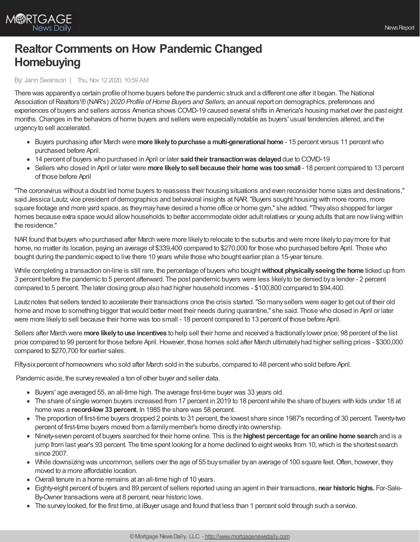

## **Realtor Comments on How Pandemic Changed Homebuying**

## By: Jann Swanson | Thu, Nov 12 2020, 10:59 AM

There was apparentlya certain profile of home buyers before the pandemic struck and a different one after it began. The National Association of Realtors'® (NAR's) 2020 Profile of Home Buyers and Sellers, an annual report on demographics, preferences and experiences of buyers and sellers across America shows COVID-19 caused several shifts in America's housing market over the past eight months.Changes in the behaviors of home buyers and sellers were especiallynotable as buyers' usual tendencies altered, and the urgencyto sell accelerated.

- Buyers purchasing after March were **more likelytopurchase a multi-generational home** 15 percent versus 11 percentwho purchased before April.
- 14 percent of buyers who purchased in April or later **saidtheir transactionwas delayed**due to COVID-19
- Sellers who closed in April or later were **more likelytosell because their homewas toosmall** 18 percent compared to 13 percent of those before April

"The coronavirus without a doubt led home buyers to reassess their housing situations and even reconsider home sizes and destinations," said Jessica Lautz, vice president of demographics and behavioral insights at NAR. "Buyers sought housing with more rooms, more square footage and more yard space, as theymayhave desired a home office or home gym," she added."Theyalso shopped for larger homes because extra space would allow households to better accommodate older adult relatives or young adults that are now living within the residence."

NARfound that buyers who purchased after March were more likelyto relocate to the suburbs and were more likelyto paymore for that home, no matter its location, paying an average of \$339,400 compared to \$270,000 for those who purchased before April. Those who bought during the pandemic expect to live there 10 years while those who bought earlier plan a 15-year tenure.

While completing a transaction on-line is still rare, the percentage of buyers who bought**without physicallyseeingthe home** ticked up from 3 percent before the pandemic to 5 percent afterward. The post pandemic buyers were less likelyto be denied bya lender - 2 percent compared to 5 percent. The later closing group also had higher household incomes - \$100,800 compared to \$94,400.

Lautznotes that sellers tended to accelerate their transactions once the crisis started."So manysellers were eager to get out of their old home and move to something bigger that would better meet their needs during quarantine," she said. Those who closed in April or later were more likelyto sell because their home was too small - 18 percent compared to 13 percent of those before April.

Sellers after March were **more likelytouse incentives** to help sell their home and received a fractionallylower price; 98 percent of the list price compared to 99 percent for those before April. However, those homes sold after March ultimately had higher selling prices - \$300,000 compared to \$270,700 for earlier sales.

Fifty-six percent of homeowners who sold after March sold in the suburbs, compared to 48 percent who sold before April.

Pandemic aside, the survey revealed a ton of other buyer and seller data.

- Buyers' age averaged 55, an all-time high. The average first-time buyer was 33 years old.
- The share of single women buyers increased from 17 percent in 2019 to 18 percent while the share of buyers with kids under 18 at home was a **record-low 33 percent.** In 1985 the share was 58 percent.
- The proportion of first-time buyers dropped 2 points to 31 percent, the lowest share since 1987's recording of 30 percent. Twenty-two percent of first-time buyers moved from a familymember's home directlyinto ownership.
- Ninety-seven percent of buyers searched for their home online. This is the **highest percentage for anonline home search**and is a jump from last year's 93 percent. The time spent looking for a home declined to eight weeks from 10, which is the shortest search since 2007.
- While downsizing was uncommon, sellers over the age of 55 buysmaller byan average of 100 square feet.Often, however, they moved to a more affordable location.
- Overall tenure in a home remains at an all-time high of 10 years.
- Eighty-eight percent of buyers and 89 percent of sellers reported using an agent in their transactions, **near historic highs.** For-Sale-By-Owner transactions were at 8 percent, near historic lows.
- The surveylooked, for the first time, at iBuyer usage and found that less than 1 percent sold through such a service.